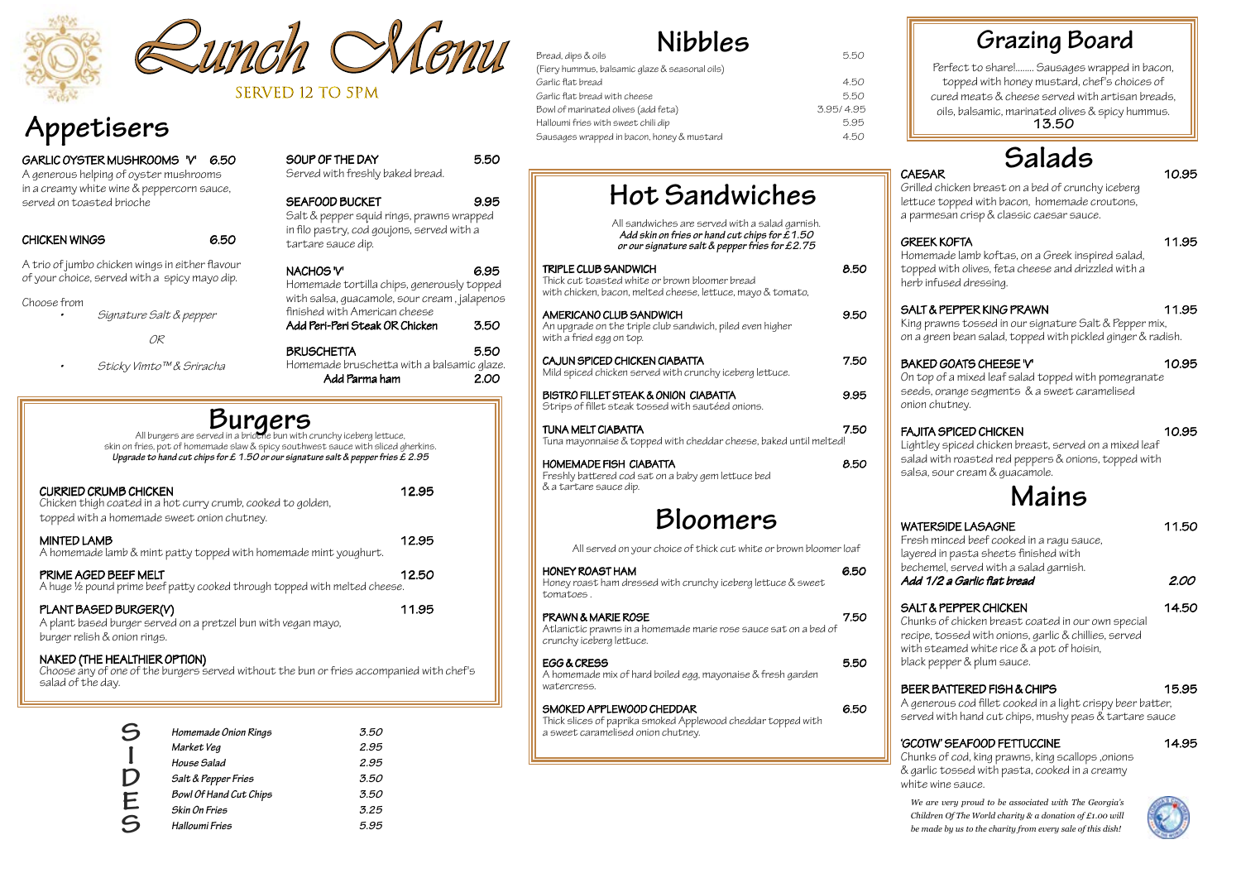# **Appetisers**





#### GARLIC OYSTER MUSHROOMS 'V' 6.50

#### SOUP OF THE DAY 5.50 Served with freshly baked bread.

A generous helping of oyster mushrooms in a creamy white wine & peppercorn sauce, served on toasted brioche

#### CHICKEN WINGS 6.50

SEAFOOD BUCKET 9.95 Salt & pepper squid rings, prawns wrapped in filo pastry, cod goujons, served with a tartare sauce dip. NACHOS 'V' 6.95 Homemade tortilla chips, generously topped with salsa, guacamole, sour cream , jalapenos

A trio of jumbo chicken wings in either flavour of your choice, served with a spicy mayo dip.

Choose from

•Signature Salt & pepper

OR

•

Sticky Vimto™ & Sriracha

PRIME AGED BEEF MELT 12.50 A huge ½ pound prime beef patty cooked through topped with melted cheese.

#### PLANT BASED BURGER(V) 11.95

NAKED (THE HEALTHIER OPTION)<br>Choose any of one of the burgers served without the bun or fries accompanied with chef's salad of the day.

| finished with American cheese<br>Add Peri-Peri Steak OR Chicken | 3.50 |
|-----------------------------------------------------------------|------|
| <b>BRUSCHETTA</b>                                               | 5.50 |
| Homemade bruschetta with a balsamic glaze.                      |      |

Add Parma ham 2.00

| <b>CURRIED CRUMB CHICKEN</b><br>Chicken thigh coated in a hot curry crumb, cooked to golden,<br>topped with a homemade sweet onion chutney. | 12.95 |
|---------------------------------------------------------------------------------------------------------------------------------------------|-------|
| <b>MINTED LAMB</b><br>A homemade lamb & mint patty topped with homemade mint youghurt.                                                      | 12.95 |
|                                                                                                                                             |       |

Fresh minced beef cooked in a ragu sauce, layered in pasta sheets finished with bechemel, served with a salad garnish. Add 1/2 a Garlic flat bread 2.00

### SALT & PEPPER CHICKEN 14.50







A plant based burger served on a pretzel bun with vegan mayo, burger relish & onion rings.

#### **Burgers** All burgers are served in a brioche bun with crunchy iceberg lettuce, skin on fries, pot of homemade slaw & spicy southwest sauce with sliced gherkins. *Upgrade to hand cut chips for £ 1.50 or our signature salt & pepper fries £ 2.95*

Grilled chicken breast on a bed of crunchy iceberg lettuce topped with bacon, homemade croutons, a parmesan crisp & classic caesar sauce.

#### SALT & PEPPER KING PRAWN 11.95

Homemade lamb koftas, on a Greek inspired salad, topped with olives, feta cheese and drizzled with a herb infused dressing.

King prawns tossed in our signature Salt & Pepper mix, on a green bean salad, topped with pickled ginger & radish.

#### BAKED GOATS CHEESE 'V' 10.95

On top of a mixed leaf salad topped with pomegranate seeds, orange segments & a sweet caramelised onion chutney.

#### FAJITA SPICED CHICKEN 10.95

Lightley spiced chicken breast, served on a mixed leaf salad with roasted red peppers & onions, topped with salsa, sour cream & guacamole.

Chunks of chicken breast coated in our own special recipe, tossed with onions, garlic & chillies, served with steamed white rice & a pot of hoisin, black pepper & plum sauce.

## BEER BATTERED FISH & CHIPS 15.95

A generous cod fillet cooked in a light crispy beer batter, served with hand cut chips, mushy peas & tartare sauce

## 'GCOTW' SEAFOOD FETTUCCINE 14.95

Chunks of cod, king prawns, king scallops ,onions & garlic tossed with pasta, cooked in a creamy white wine sauce.

# **Mains**

#### WATERSIDE LASAGNE 11.50

## CAESAR 10.95 **Salads**

| <b>Hot Sandwiches</b>                                                                                                                                |      |
|------------------------------------------------------------------------------------------------------------------------------------------------------|------|
| All sandwiches are served with a salad garnish.<br>Add skin on fries or hand cut chips for $£1.50$<br>or our signature salt & pepper fries for £2.75 |      |
| TRIPLE CLUB SANDWICH<br>Thick cut toasted white or brown bloomer bread<br>with chicken, bacon, melted cheese, lettuce, mayo & tomato,                | 8.50 |
| AMERICANO CLUB SANDWICH<br>An upgrade on the triple club sandwich, piled even higher<br>with a fried egg on top.                                     | 9.50 |
| CAJUN SPICED CHICKEN CIABATTA<br>Mild spiced chicken served with crunchy iceberg lettuce.                                                            | 7.50 |
| BISTRO FILLET STEAK & ONION CIABATTA<br>Strips of fillet steak tossed with sautéed onions.                                                           | 9.95 |
| TUNA MELT CIABATTA<br>Tuna mayonnaise & topped with cheddar cheese, baked until melted!                                                              | 7.50 |
| <b>HOMEMADE FISH CIABATTA</b><br>Freshly battered cod sat on a baby gem lettuce bed<br>& a tartare sauce dip.                                        | 8.50 |
|                                                                                                                                                      |      |

# **Bloomers**

All served on your choice of thick cut white or brown bloomer loaf

| HONEY ROAST HAM<br>Honey roast ham dressed with crunchy iceberg lettuce & sweet<br>tomatoes.                                   |      |
|--------------------------------------------------------------------------------------------------------------------------------|------|
| <b>PRAWN &amp; MARIE ROSE</b><br>Atlanictic prawns in a homemade marie rose sauce sat on a bed of<br>crunchy iceberg lettuce.  | 7.50 |
| EGG & CRESS<br>A homemade mix of hard boiled egg, mayonaise & fresh garden<br>watercress.                                      | 5.50 |
| SMOKED APPLEWOOD CHEDDAR<br>Thick slices of paprika smoked Applewood cheddar topped with<br>a sweet caramelised onion chutney. | 6.50 |

| S           | Homemade Onion Rings   | 3.50 | Thick slices of paprika smoked Appl<br>a sweet caramelised onion chutney. |
|-------------|------------------------|------|---------------------------------------------------------------------------|
|             | Market Veg             | 2.95 |                                                                           |
|             | House Salad            | 2.95 |                                                                           |
| $\mathsf D$ | Salt & Pepper Fries    | 3.50 |                                                                           |
|             | Bowl Of Hand Cut Chips | 3.50 |                                                                           |
|             | Skin On Fries          | 3.25 |                                                                           |
| E<br>S      | Halloumi Fries         | 5.95 |                                                                           |
|             |                        |      |                                                                           |

(Fiery hummus, balsamic glas Garlic flat bread Garlic flat bread with cheese Bowl of marinated olives (add Halloumi fries with sweet chi Sausages wrapped in bacon,

| ze & seasonal oils) |           |
|---------------------|-----------|
|                     | 4.50      |
|                     | 5.50      |
| d feta)             | 3.95/4.95 |
| ili dip             | 5.95      |
| honey & mustard     | 4.50      |
|                     |           |

SERVED 12 TO 5PM

*We are very proud to be associated with The Georgia's Children Of The World charity & a donation of £1.00 will be made by us to the charity from every sale of this dish!*

# GREEK KOFTA 11.95

# **Grazing Board**

Perfect to share!........ Sausages wrapped in bacon, topped with honey mustard, chef's choices of cured meats & cheese served with artisan breads, oils, balsamic, marinated olives & spicy hummus. **13.50**